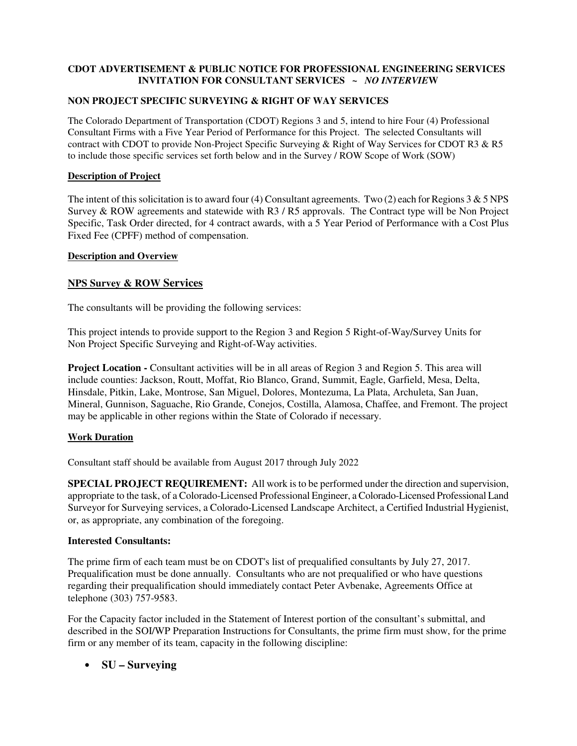# **CDOT ADVERTISEMENT & PUBLIC NOTICE FOR PROFESSIONAL ENGINEERING SERVICES INVITATION FOR CONSULTANT SERVICES ~** *NO INTERVIE***W**

## **NON PROJECT SPECIFIC SURVEYING & RIGHT OF WAY SERVICES**

The Colorado Department of Transportation (CDOT) Regions 3 and 5, intend to hire Four (4) Professional Consultant Firms with a Five Year Period of Performance for this Project. The selected Consultants will contract with CDOT to provide Non-Project Specific Surveying & Right of Way Services for CDOT R3 & R5 to include those specific services set forth below and in the Survey / ROW Scope of Work (SOW)

### **Description of Project**

The intent of this solicitation is to award four (4) Consultant agreements. Two (2) each for Regions 3  $\&$  5 NPS Survey & ROW agreements and statewide with R3 / R5 approvals. The Contract type will be Non Project Specific, Task Order directed, for 4 contract awards, with a 5 Year Period of Performance with a Cost Plus Fixed Fee (CPFF) method of compensation.

#### **Description and Overview**

## **NPS Survey & ROW Services**

The consultants will be providing the following services:

This project intends to provide support to the Region 3 and Region 5 Right-of-Way/Survey Units for Non Project Specific Surveying and Right-of-Way activities.

**Project Location -** Consultant activities will be in all areas of Region 3 and Region 5. This area will include counties: Jackson, Routt, Moffat, Rio Blanco, Grand, Summit, Eagle, Garfield, Mesa, Delta, Hinsdale, Pitkin, Lake, Montrose, San Miguel, Dolores, Montezuma, La Plata, Archuleta, San Juan, Mineral, Gunnison, Saguache, Rio Grande, Conejos, Costilla, Alamosa, Chaffee, and Fremont. The project may be applicable in other regions within the State of Colorado if necessary.

#### **Work Duration**

Consultant staff should be available from August 2017 through July 2022

**SPECIAL PROJECT REQUIREMENT:** All work is to be performed under the direction and supervision, appropriate to the task, of a Colorado-Licensed Professional Engineer, a Colorado-Licensed Professional Land Surveyor for Surveying services, a Colorado-Licensed Landscape Architect, a Certified Industrial Hygienist, or, as appropriate, any combination of the foregoing.

#### **Interested Consultants:**

The prime firm of each team must be on CDOT's list of prequalified consultants by July 27, 2017. Prequalification must be done annually. Consultants who are not prequalified or who have questions regarding their prequalification should immediately contact Peter Avbenake, Agreements Office at telephone (303) 757-9583.

For the Capacity factor included in the Statement of Interest portion of the consultant's submittal, and described in the SOI/WP Preparation Instructions for Consultants, the prime firm must show, for the prime firm or any member of its team, capacity in the following discipline:

## • **SU – Surveying**